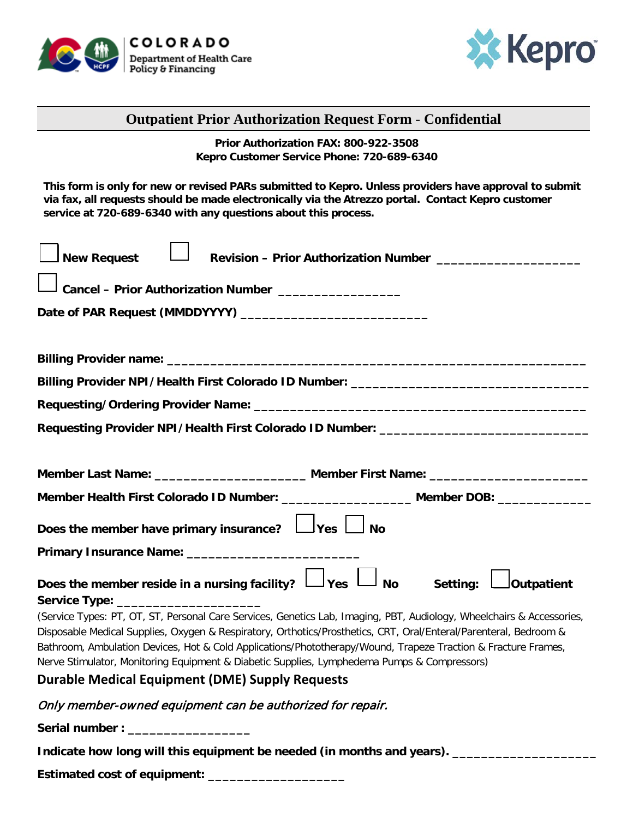



### **Outpatient Prior Authorization Request Form** - **Confidential**

**Prior Authorization FAX: 800-922-3508 Kepro Customer Service Phone: 720-689-6340**

**This form is only for new or revised PARs submitted to Kepro. Unless providers have approval to submit via fax, all requests should be made electronically via the Atrezzo portal. Contact Kepro customer service at 720-689-6340 with any questions about this process.** 

| <b>New Request</b><br>Revision - Prior Authorization Number ______________________                                    |  |  |  |  |  |  |
|-----------------------------------------------------------------------------------------------------------------------|--|--|--|--|--|--|
| Cancel - Prior Authorization Number ________________                                                                  |  |  |  |  |  |  |
|                                                                                                                       |  |  |  |  |  |  |
|                                                                                                                       |  |  |  |  |  |  |
| Billing Provider NPI/Health First Colorado ID Number: __________________________                                      |  |  |  |  |  |  |
|                                                                                                                       |  |  |  |  |  |  |
| Requesting Provider NPI/Health First Colorado ID Number: _______________________                                      |  |  |  |  |  |  |
| Member Last Name: ___________________________ Member First Name: ___________________________________                  |  |  |  |  |  |  |
| Member Health First Colorado ID Number: ____________________ Member DOB: ______________                               |  |  |  |  |  |  |
| Does the member have primary insurance? $\Box$ Yes $\Box$ No                                                          |  |  |  |  |  |  |
|                                                                                                                       |  |  |  |  |  |  |
| Does the member reside in a nursing facility? $\Box$ Yes $\Box$<br>No Setting: <b>Letting</b> butpatient              |  |  |  |  |  |  |
| Service Type: _________________________                                                                               |  |  |  |  |  |  |
| (Service Types: PT, OT, ST, Personal Care Services, Genetics Lab, Imaging, PBT, Audiology, Wheelchairs & Accessories, |  |  |  |  |  |  |
| Disposable Medical Supplies, Oxygen & Respiratory, Orthotics/Prosthetics, CRT, Oral/Enteral/Parenteral, Bedroom &     |  |  |  |  |  |  |
| Bathroom, Ambulation Devices, Hot & Cold Applications/Phototherapy/Wound, Trapeze Traction & Fracture Frames,         |  |  |  |  |  |  |

Nerve Stimulator, Monitoring Equipment & Diabetic Supplies, Lymphedema Pumps & Compressors)

# **Durable Medical Equipment (DME) Supply Requests**

#### Only member-owned equipment can be authorized for repair.

 $Serial number:$ 

**Indicate how long will this equipment be needed (in months and years). \_\_\_\_\_\_\_\_\_\_\_\_\_\_\_\_\_\_\_\_**

**Estimated cost of equipment: \_\_\_\_\_\_\_\_\_\_\_\_\_\_\_\_\_\_\_**